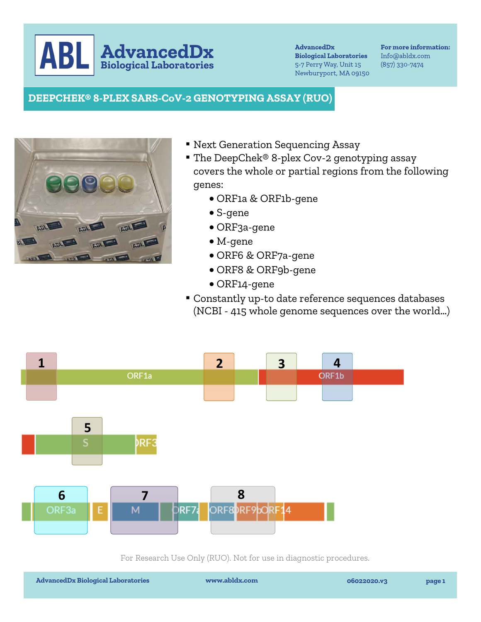**AdvancedDx** ABI

**AdvancedDx Biological Laboratories** 5-7 Perry Way, Unit 15 Newburyport, MA 09150

For more information: Info@abldx.com  $(857)$  330-7474

## **DEEPCHEK® 8-PLEX SARS-CoV-2 GENOTYPING ASSAY (RUO)**



- Next Generation Sequencing Assay
- The DeepChek® 8-plex Cov-2 genotyping assay covers the whole or partial regions from the following genes:
	- ORF1a & ORF1b-gene
	- S-gene
	- ORF3a-gene
	- M-gene
	- ORF6 & ORF7a-gene
	- ORF8 & ORF9b-gene
	- ORF14-gene
- ▪Constantly up-to date reference sequences databases (NCBI - 415 whole genome sequences over the world…)



For Research Use Only (RUO). Not for use in diagnostic procedures.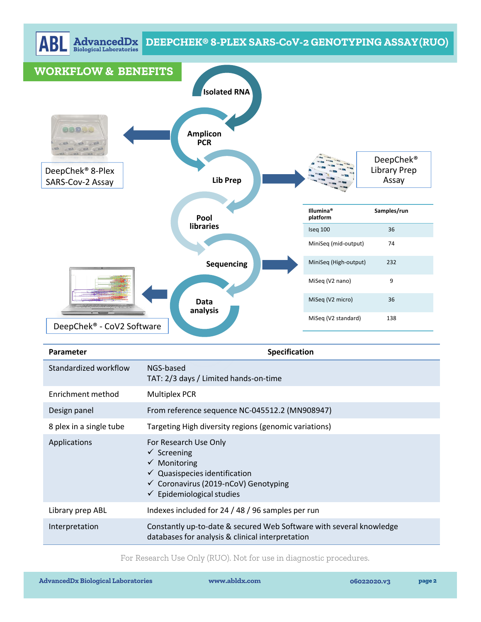

| Parameter               | <b>Specification</b>                                                                                                                                                                                              |
|-------------------------|-------------------------------------------------------------------------------------------------------------------------------------------------------------------------------------------------------------------|
| Standardized workflow   | NGS-based<br>TAT: 2/3 days / Limited hands-on-time                                                                                                                                                                |
| Enrichment method       | <b>Multiplex PCR</b>                                                                                                                                                                                              |
| Design panel            | From reference sequence NC-045512.2 (MN908947)                                                                                                                                                                    |
| 8 plex in a single tube | Targeting High diversity regions (genomic variations)                                                                                                                                                             |
| Applications            | For Research Use Only<br>$\checkmark$ Screening<br>$\checkmark$ Monitoring<br>$\checkmark$ Quasispecies identification<br>$\checkmark$ Coronavirus (2019-nCoV) Genotyping<br>$\checkmark$ Epidemiological studies |
| Library prep ABL        | Indexes included for 24 / 48 / 96 samples per run                                                                                                                                                                 |
| Interpretation          | Constantly up-to-date & secured Web Software with several knowledge<br>databases for analysis & clinical interpretation                                                                                           |

For Research Use Only (RUO). Not for use in diagnostic procedures.